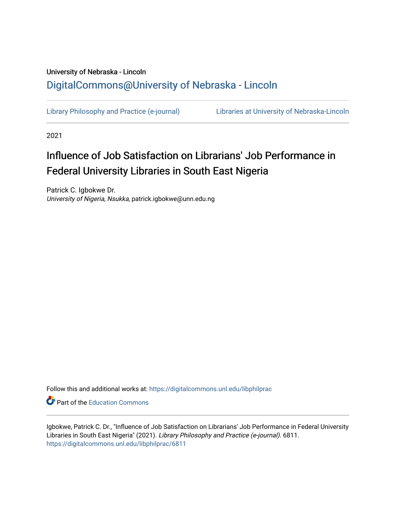### University of Nebraska - Lincoln [DigitalCommons@University of Nebraska - Lincoln](https://digitalcommons.unl.edu/)

[Library Philosophy and Practice \(e-journal\)](https://digitalcommons.unl.edu/libphilprac) [Libraries at University of Nebraska-Lincoln](https://digitalcommons.unl.edu/libraries) 

2021

## Influence of Job Satisfaction on Librarians' Job Performance in Federal University Libraries in South East Nigeria

Patrick C. Igbokwe Dr. University of Nigeria, Nsukka, patrick.igbokwe@unn.edu.ng

Follow this and additional works at: [https://digitalcommons.unl.edu/libphilprac](https://digitalcommons.unl.edu/libphilprac?utm_source=digitalcommons.unl.edu%2Flibphilprac%2F6811&utm_medium=PDF&utm_campaign=PDFCoverPages) 

**C** Part of the [Education Commons](http://network.bepress.com/hgg/discipline/784?utm_source=digitalcommons.unl.edu%2Flibphilprac%2F6811&utm_medium=PDF&utm_campaign=PDFCoverPages)

Igbokwe, Patrick C. Dr., "Influence of Job Satisfaction on Librarians' Job Performance in Federal University Libraries in South East Nigeria" (2021). Library Philosophy and Practice (e-journal). 6811. [https://digitalcommons.unl.edu/libphilprac/6811](https://digitalcommons.unl.edu/libphilprac/6811?utm_source=digitalcommons.unl.edu%2Flibphilprac%2F6811&utm_medium=PDF&utm_campaign=PDFCoverPages)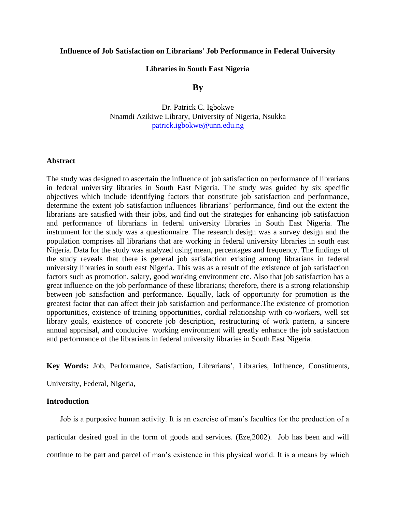#### **Influence of Job Satisfaction on Librarians' Job Performance in Federal University**

#### **Libraries in South East Nigeria**

#### **By**

Dr. Patrick C. Igbokwe Nnamdi Azikiwe Library, University of Nigeria, Nsukka [patrick.igbokwe@unn.edu.ng](mailto:patrick.igbokwe@unn.edu.ng)

#### **Abstract**

The study was designed to ascertain the influence of job satisfaction on performance of librarians in federal university libraries in South East Nigeria. The study was guided by six specific objectives which include identifying factors that constitute job satisfaction and performance, determine the extent job satisfaction influences librarians' performance, find out the extent the librarians are satisfied with their jobs, and find out the strategies for enhancing job satisfaction and performance of librarians in federal university libraries in South East Nigeria. The instrument for the study was a questionnaire. The research design was a survey design and the population comprises all librarians that are working in federal university libraries in south east Nigeria. Data for the study was analyzed using mean, percentages and frequency. The findings of the study reveals that there is general job satisfaction existing among librarians in federal university libraries in south east Nigeria. This was as a result of the existence of job satisfaction factors such as promotion, salary, good working environment etc. Also that job satisfaction has a great influence on the job performance of these librarians; therefore, there is a strong relationship between job satisfaction and performance. Equally, lack of opportunity for promotion is the greatest factor that can affect their job satisfaction and performance.The existence of promotion opportunities, existence of training opportunities, cordial relationship with co-workers, well set library goals, existence of concrete job description, restructuring of work pattern, a sincere annual appraisal, and conducive working environment will greatly enhance the job satisfaction and performance of the librarians in federal university libraries in South East Nigeria.

**Key Words:** Job, Performance, Satisfaction, Librarians', Libraries, Influence, Constituents,

University, Federal, Nigeria,

#### **Introduction**

 Job is a purposive human activity. It is an exercise of man's faculties for the production of a particular desired goal in the form of goods and services. (Eze,2002). Job has been and will continue to be part and parcel of man's existence in this physical world. It is a means by which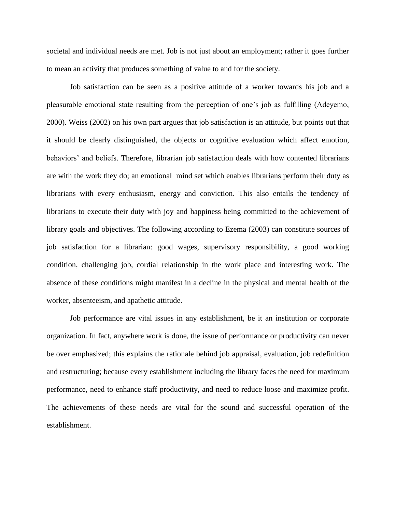societal and individual needs are met. Job is not just about an employment; rather it goes further to mean an activity that produces something of value to and for the society.

Job satisfaction can be seen as a positive attitude of a worker towards his job and a pleasurable emotional state resulting from the perception of one's job as fulfilling (Adeyemo, 2000). Weiss (2002) on his own part argues that job satisfaction is an attitude, but points out that it should be clearly distinguished, the objects or cognitive evaluation which affect emotion, behaviors' and beliefs. Therefore, librarian job satisfaction deals with how contented librarians are with the work they do; an emotional mind set which enables librarians perform their duty as librarians with every enthusiasm, energy and conviction. This also entails the tendency of librarians to execute their duty with joy and happiness being committed to the achievement of library goals and objectives. The following according to Ezema (2003) can constitute sources of job satisfaction for a librarian: good wages, supervisory responsibility, a good working condition, challenging job, cordial relationship in the work place and interesting work. The absence of these conditions might manifest in a decline in the physical and mental health of the worker, absenteeism, and apathetic attitude.

Job performance are vital issues in any establishment, be it an institution or corporate organization. In fact, anywhere work is done, the issue of performance or productivity can never be over emphasized; this explains the rationale behind job appraisal, evaluation, job redefinition and restructuring; because every establishment including the library faces the need for maximum performance, need to enhance staff productivity, and need to reduce loose and maximize profit. The achievements of these needs are vital for the sound and successful operation of the establishment.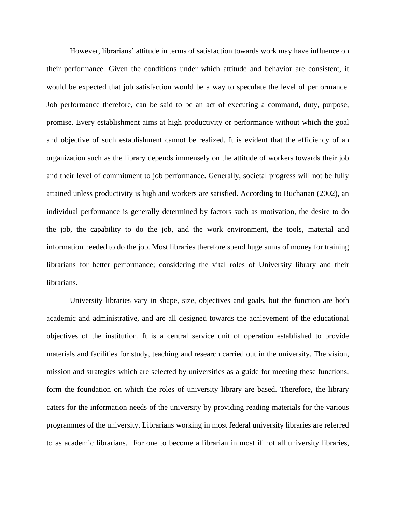However, librarians' attitude in terms of satisfaction towards work may have influence on their performance. Given the conditions under which attitude and behavior are consistent, it would be expected that job satisfaction would be a way to speculate the level of performance. Job performance therefore, can be said to be an act of executing a command, duty, purpose, promise. Every establishment aims at high productivity or performance without which the goal and objective of such establishment cannot be realized. It is evident that the efficiency of an organization such as the library depends immensely on the attitude of workers towards their job and their level of commitment to job performance. Generally, societal progress will not be fully attained unless productivity is high and workers are satisfied. According to Buchanan (2002), an individual performance is generally determined by factors such as motivation, the desire to do the job, the capability to do the job, and the work environment, the tools, material and information needed to do the job. Most libraries therefore spend huge sums of money for training librarians for better performance; considering the vital roles of University library and their librarians.

University libraries vary in shape, size, objectives and goals, but the function are both academic and administrative, and are all designed towards the achievement of the educational objectives of the institution. It is a central service unit of operation established to provide materials and facilities for study, teaching and research carried out in the university. The vision, mission and strategies which are selected by universities as a guide for meeting these functions, form the foundation on which the roles of university library are based. Therefore, the library caters for the information needs of the university by providing reading materials for the various programmes of the university. Librarians working in most federal university libraries are referred to as academic librarians. For one to become a librarian in most if not all university libraries,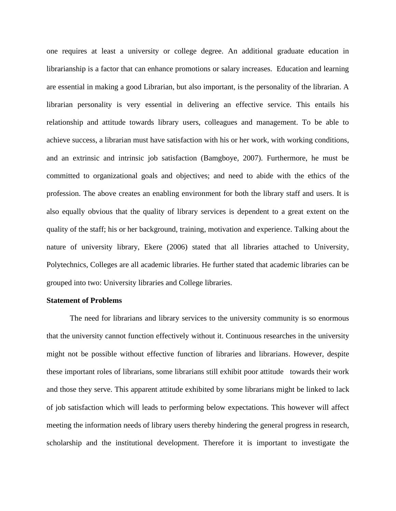one requires at least a university or college degree. An additional graduate education in librarianship is a factor that can enhance promotions or salary increases. Education and learning are essential in making a good Librarian, but also important, is the personality of the librarian. A librarian personality is very essential in delivering an effective service. This entails his relationship and attitude towards library users, colleagues and management. To be able to achieve success, a librarian must have satisfaction with his or her work, with working conditions, and an extrinsic and intrinsic job satisfaction (Bamgboye, 2007). Furthermore, he must be committed to organizational goals and objectives; and need to abide with the ethics of the profession. The above creates an enabling environment for both the library staff and users. It is also equally obvious that the quality of library services is dependent to a great extent on the quality of the staff; his or her background, training, motivation and experience. Talking about the nature of university library, Ekere (2006) stated that all libraries attached to University, Polytechnics, Colleges are all academic libraries. He further stated that academic libraries can be grouped into two: University libraries and College libraries.

#### **Statement of Problems**

The need for librarians and library services to the university community is so enormous that the university cannot function effectively without it. Continuous researches in the university might not be possible without effective function of libraries and librarians. However, despite these important roles of librarians, some librarians still exhibit poor attitude towards their work and those they serve. This apparent attitude exhibited by some librarians might be linked to lack of job satisfaction which will leads to performing below expectations. This however will affect meeting the information needs of library users thereby hindering the general progress in research, scholarship and the institutional development. Therefore it is important to investigate the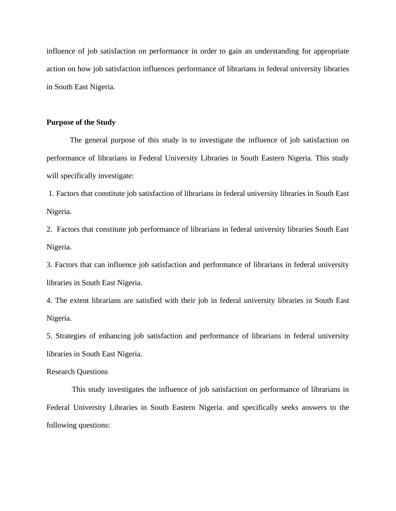influence of job satisfaction on performance in order to gain an understanding for appropriate action on how job satisfaction influences performance of librarians in federal university libraries in South East Nigeria.

#### **Purpose of the Study**

The general purpose of this study is to investigate the influence of job satisfaction on performance of librarians in Federal University Libraries in South Eastern Nigeria. This study will specifically investigate:

1. Factors that constitute job satisfaction of librarians in federal university libraries in South East Nigeria.

2. Factors that constitute job performance of librarians in federal university libraries South East Nigeria.

3. Factors that can influence job satisfaction and performance of librarians in federal university libraries in South East Nigeria.

4. The extent librarians are satisfied with their job in federal university libraries in South East Nigeria.

5. Strategies of enhancing job satisfaction and performance of librarians in federal university libraries in South East Nigeria.

#### Research Questions

This study investigates the influence of job satisfaction on performance of librarians in Federal University Libraries in South Eastern Nigeria. and specifically seeks answers to the following questions: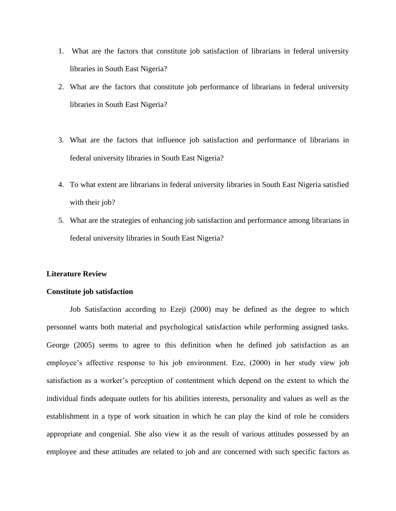- 1. What are the factors that constitute job satisfaction of librarians in federal university libraries in South East Nigeria?
- 2. What are the factors that constitute job performance of librarians in federal university libraries in South East Nigeria?
- 3. What are the factors that influence job satisfaction and performance of librarians in federal university libraries in South East Nigeria?
- 4. To what extent are librarians in federal university libraries in South East Nigeria satisfied with their job?
- 5. What are the strategies of enhancing job satisfaction and performance among librarians in federal university libraries in South East Nigeria?

#### **Literature Review**

#### **Constitute job satisfaction**

Job Satisfaction according to Ezeji (2000) may be defined as the degree to which personnel wants both material and psychological satisfaction while performing assigned tasks. George (2005) seems to agree to this definition when he defined job satisfaction as an employee's affective response to his job environment. Eze, (2000) in her study view job satisfaction as a worker's perception of contentment which depend on the extent to which the individual finds adequate outlets for his abilities interests, personality and values as well as the establishment in a type of work situation in which he can play the kind of role he considers appropriate and congenial. She also view it as the result of various attitudes possessed by an employee and these attitudes are related to job and are concerned with such specific factors as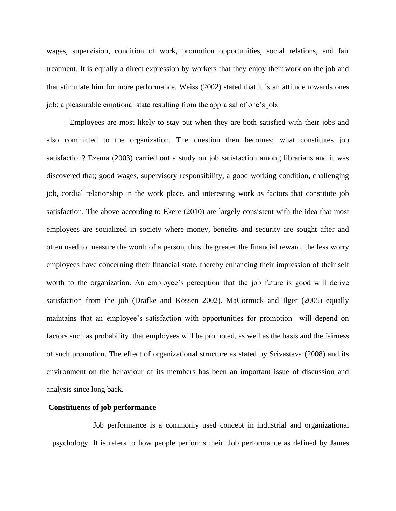wages, supervision, condition of work, promotion opportunities, social relations, and fair treatment. It is equally a direct expression by workers that they enjoy their work on the job and that stimulate him for more performance. Weiss (2002) stated that it is an attitude towards ones job; a pleasurable emotional state resulting from the appraisal of one's job.

Employees are most likely to stay put when they are both satisfied with their jobs and also committed to the organization. The question then becomes; what constitutes job satisfaction? Ezema (2003) carried out a study on job satisfaction among librarians and it was discovered that; good wages, supervisory responsibility, a good working condition, challenging job, cordial relationship in the work place, and interesting work as factors that constitute job satisfaction. The above according to Ekere (2010) are largely consistent with the idea that most employees are socialized in society where money, benefits and security are sought after and often used to measure the worth of a person, thus the greater the financial reward, the less worry employees have concerning their financial state, thereby enhancing their impression of their self worth to the organization. An employee's perception that the job future is good will derive satisfaction from the job (Drafke and Kossen 2002). MaCormick and Ilger (2005) equally maintains that an employee's satisfaction with opportunities for promotion will depend on factors such as probability that employees will be promoted, as well as the basis and the fairness of such promotion. The effect of organizational structure as stated by Srivastava (2008) and its environment on the behaviour of its members has been an important issue of discussion and analysis since long back.

#### **Constituents of job performance**

Job performance is a commonly used concept in industrial and organizational psychology. It is refers to how people performs their. Job performance as defined by James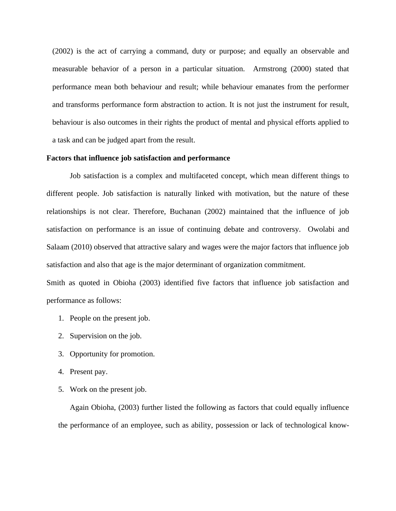(2002) is the act of carrying a command, duty or purpose; and equally an observable and measurable behavior of a person in a particular situation. Armstrong (2000) stated that performance mean both behaviour and result; while behaviour emanates from the performer and transforms performance form abstraction to action. It is not just the instrument for result, behaviour is also outcomes in their rights the product of mental and physical efforts applied to a task and can be judged apart from the result.

#### **Factors that influence job satisfaction and performance**

Job satisfaction is a complex and multifaceted concept, which mean different things to different people. Job satisfaction is naturally linked with motivation, but the nature of these relationships is not clear. Therefore, Buchanan (2002) maintained that the influence of job satisfaction on performance is an issue of continuing debate and controversy. Owolabi and Salaam (2010) observed that attractive salary and wages were the major factors that influence job satisfaction and also that age is the major determinant of organization commitment.

Smith as quoted in Obioha (2003) identified five factors that influence job satisfaction and performance as follows:

- 1. People on the present job.
- 2. Supervision on the job.
- 3. Opportunity for promotion.
- 4. Present pay.
- 5. Work on the present job.

Again Obioha, (2003) further listed the following as factors that could equally influence the performance of an employee, such as ability, possession or lack of technological know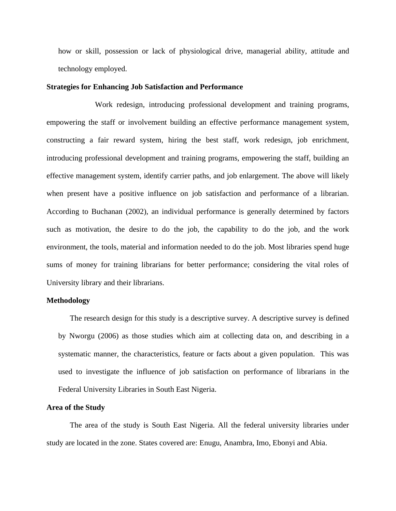how or skill, possession or lack of physiological drive, managerial ability, attitude and technology employed.

#### **Strategies for Enhancing Job Satisfaction and Performance**

Work redesign, introducing professional development and training programs, empowering the staff or involvement building an effective performance management system, constructing a fair reward system, hiring the best staff, work redesign, job enrichment, introducing professional development and training programs, empowering the staff, building an effective management system, identify carrier paths, and job enlargement. The above will likely when present have a positive influence on job satisfaction and performance of a librarian. According to Buchanan (2002), an individual performance is generally determined by factors such as motivation, the desire to do the job, the capability to do the job, and the work environment, the tools, material and information needed to do the job. Most libraries spend huge sums of money for training librarians for better performance; considering the vital roles of University library and their librarians.

#### **Methodology**

The research design for this study is a descriptive survey. A descriptive survey is defined by Nworgu (2006) as those studies which aim at collecting data on, and describing in a systematic manner, the characteristics, feature or facts about a given population. This was used to investigate the influence of job satisfaction on performance of librarians in the Federal University Libraries in South East Nigeria.

#### **Area of the Study**

The area of the study is South East Nigeria. All the federal university libraries under study are located in the zone. States covered are: Enugu, Anambra, Imo, Ebonyi and Abia.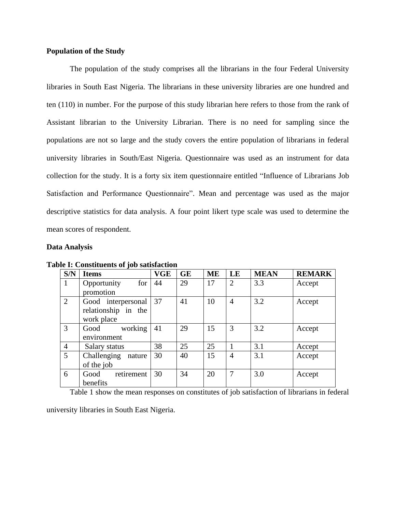#### **Population of the Study**

The population of the study comprises all the librarians in the four Federal University libraries in South East Nigeria. The librarians in these university libraries are one hundred and ten (110) in number. For the purpose of this study librarian here refers to those from the rank of Assistant librarian to the University Librarian. There is no need for sampling since the populations are not so large and the study covers the entire population of librarians in federal university libraries in South/East Nigeria. Questionnaire was used as an instrument for data collection for the study. It is a forty six item questionnaire entitled "Influence of Librarians Job Satisfaction and Performance Questionnaire". Mean and percentage was used as the major descriptive statistics for data analysis. A four point likert type scale was used to determine the mean scores of respondent.

#### **Data Analysis**

| S/N            | <b>Items</b>          | VGE | <b>GE</b> | ME | LE             | <b>MEAN</b> | <b>REMARK</b> |
|----------------|-----------------------|-----|-----------|----|----------------|-------------|---------------|
| 1              | for<br>Opportunity    | 44  | 29        | 17 | $\overline{2}$ | 3.3         | Accept        |
|                | promotion             |     |           |    |                |             |               |
| $\overline{2}$ | Good interpersonal 37 |     | 41        | 10 | $\overline{4}$ | 3.2         | Accept        |
|                | relationship in the   |     |           |    |                |             |               |
|                | work place            |     |           |    |                |             |               |
| 3              | working<br>Good       | 41  | 29        | 15 | 3              | 3.2         | Accept        |
|                | environment           |     |           |    |                |             |               |
| 4              | Salary status         | 38  | 25        | 25 | 1              | 3.1         | Accept        |
| 5              | Challenging nature    | 30  | 40        | 15 | $\overline{4}$ | 3.1         | Accept        |
|                | of the job            |     |           |    |                |             |               |
| 6              | retirement<br>Good    | 30  | 34        | 20 | 7              | 3.0         | Accept        |
|                | benefits              |     |           |    |                |             |               |

**Table I: Constituents of job satisfaction** 

Table 1 show the mean responses on constitutes of job satisfaction of librarians in federal

university libraries in South East Nigeria.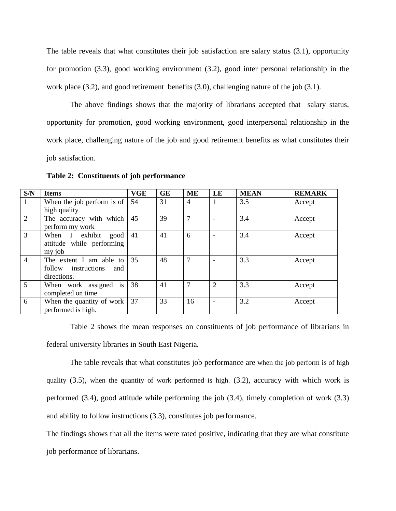The table reveals that what constitutes their job satisfaction are salary status (3.1), opportunity for promotion (3.3), good working environment (3.2), good inter personal relationship in the work place (3.2), and good retirement benefits (3.0), challenging nature of the job (3.1).

The above findings shows that the majority of librarians accepted that salary status, opportunity for promotion, good working environment, good interpersonal relationship in the work place, challenging nature of the job and good retirement benefits as what constitutes their job satisfaction.

| S/N            | <b>Items</b>                                                      | <b>VGE</b> | <b>GE</b> | ME             | LE             | <b>MEAN</b> | <b>REMARK</b> |
|----------------|-------------------------------------------------------------------|------------|-----------|----------------|----------------|-------------|---------------|
| 1              | When the job perform is of<br>high quality                        | 54         | 31        | $\overline{4}$ | 1              | 3.5         | Accept        |
| $\overline{2}$ | The accuracy with which<br>perform my work                        | 45         | 39        | $\tau$         |                | 3.4         | Accept        |
| 3              | When I exhibit good<br>attitude while performing<br>my job        | 41         | 41        | 6              |                | 3.4         | Accept        |
| $\overline{4}$ | The extent I am able to<br>follow instructions and<br>directions. | 35         | 48        | $\overline{7}$ |                | 3.3         | Accept        |
| 5              | When work assigned is<br>completed on time                        | 38         | 41        | $\overline{7}$ | $\overline{2}$ | 3.3         | Accept        |
| 6              | When the quantity of work<br>performed is high.                   | 37         | 33        | 16             |                | 3.2         | Accept        |

**Table 2: Constituents of job performance**

Table 2 shows the mean responses on constituents of job performance of librarians in federal university libraries in South East Nigeria.

The table reveals that what constitutes job performance are when the job perform is of high quality  $(3.5)$ , when the quantity of work performed is high.  $(3.2)$ , accuracy with which work is performed (3.4), good attitude while performing the job (3.4), timely completion of work (3.3) and ability to follow instructions (3.3), constitutes job performance.

The findings shows that all the items were rated positive, indicating that they are what constitute job performance of librarians.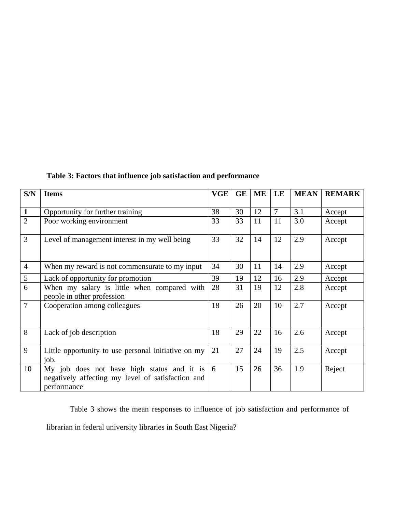| S/N            | <b>Items</b>                                                                                                   |    | <b>GE</b> | <b>ME</b> | LE             | <b>MEAN</b> | <b>REMARK</b> |
|----------------|----------------------------------------------------------------------------------------------------------------|----|-----------|-----------|----------------|-------------|---------------|
| $\mathbf{1}$   | Opportunity for further training                                                                               | 38 | 30        | 12        | $\overline{7}$ | 3.1         | Accept        |
| $\overline{2}$ | Poor working environment                                                                                       | 33 | 33        | 11        | 11             | 3.0         | Accept        |
| $\overline{3}$ | Level of management interest in my well being                                                                  |    | 32        | 14        | 12             | 2.9         | Accept        |
| $\overline{4}$ | When my reward is not commensurate to my input                                                                 | 34 | 30        | 11        | 14             | 2.9         | Accept        |
| 5              | Lack of opportunity for promotion                                                                              | 39 | 19        | 12        | 16             | 2.9         | Accept        |
| 6              | When my salary is little when compared with<br>people in other profession                                      | 28 | 31        | 19        | 12             | 2.8         | Accept        |
| $\overline{7}$ | Cooperation among colleagues                                                                                   | 18 | 26        | 20        | 10             | 2.7         | Accept        |
| 8              | Lack of job description                                                                                        | 18 | 29        | 22        | 16             | 2.6         | Accept        |
| 9              | Little opportunity to use personal initiative on my<br>job.                                                    | 21 | 27        | 24        | 19             | 2.5         | Accept        |
| 10             | My job does not have high status and it is<br>negatively affecting my level of satisfaction and<br>performance | 6  | 15        | 26        | 36             | 1.9         | Reject        |

**Table 3: Factors that influence job satisfaction and performance**

Table 3 shows the mean responses to influence of job satisfaction and performance of librarian in federal university libraries in South East Nigeria?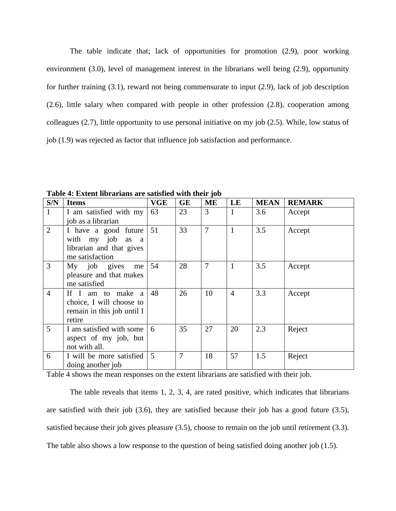The table indicate that; lack of opportunities for promotion (2.9), poor working environment (3.0), level of management interest in the librarians well being (2.9), opportunity for further training (3.1), reward not being commensurate to input (2.9), lack of job description (2.6), little salary when compared with people in other profession (2.8), cooperation among colleagues (2.7), little opportunity to use personal initiative on my job (2.5). While, low status of job (1.9) was rejected as factor that influence job satisfaction and performance.

| S/N            | <b>Items</b>               | <b>VGE</b>     | <b>GE</b> | ME             | LE             | <b>MEAN</b> | <b>REMARK</b> |
|----------------|----------------------------|----------------|-----------|----------------|----------------|-------------|---------------|
| $\mathbf{1}$   | I am satisfied with my     | 63             | 23        | 3              | $\mathbf{1}$   | 3.6         | Accept        |
|                | job as a librarian         |                |           |                |                |             |               |
| $\overline{2}$ | I have a good future       | 51             | 33        | $\overline{7}$ | $\mathbf{1}$   | 3.5         | Accept        |
|                | with my job as a           |                |           |                |                |             |               |
|                | librarian and that gives   |                |           |                |                |             |               |
|                | me satisfaction            |                |           |                |                |             |               |
| 3              | My job gives me            | 54             | 28        | $\overline{7}$ | $\mathbf{1}$   | 3.5         | Accept        |
|                | pleasure and that makes    |                |           |                |                |             |               |
|                | me satisfied               |                |           |                |                |             |               |
| $\overline{4}$ | If I am to make a          | 48             | 26        | 10             | $\overline{4}$ | 3.3         | Accept        |
|                | choice, I will choose to   |                |           |                |                |             |               |
|                | remain in this job until I |                |           |                |                |             |               |
|                | retire                     |                |           |                |                |             |               |
| 5              | I am satisfied with some   | 6              | 35        | 27             | 20             | 2.3         | Reject        |
|                | aspect of my job, but      |                |           |                |                |             |               |
|                | not with all.              |                |           |                |                |             |               |
| 6              | I will be more satisfied   | $\overline{5}$ | 7         | 18             | 57             | 1.5         | Reject        |
|                | doing another job          |                |           |                |                |             |               |

**Table 4: Extent librarians are satisfied with their job**

Table 4 shows the mean responses on the extent librarians are satisfied with their job.

The table reveals that items 1, 2, 3, 4, are rated positive, which indicates that librarians are satisfied with their job (3.6), they are satisfied because their job has a good future (3.5), satisfied because their job gives pleasure (3.5), choose to remain on the job until retirement (3.3). The table also shows a low response to the question of being satisfied doing another job (1.5).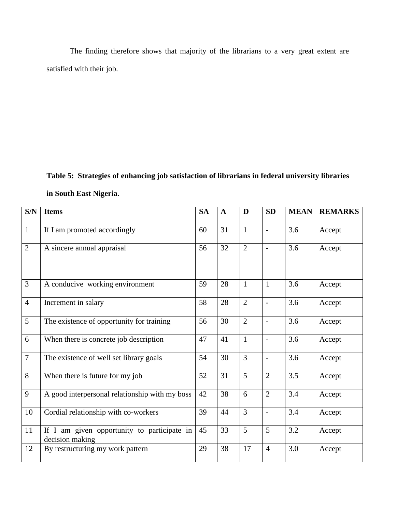The finding therefore shows that majority of the librarians to a very great extent are satisfied with their job.

# **Table 5: Strategies of enhancing job satisfaction of librarians in federal university libraries**

**in South East Nigeria**.

| S/N            | <b>Items</b>                                                   | <b>SA</b> | $\mathbf{A}$ | D              | <b>SD</b>                | <b>MEAN</b> | <b>REMARKS</b> |
|----------------|----------------------------------------------------------------|-----------|--------------|----------------|--------------------------|-------------|----------------|
| $\mathbf{1}$   | If I am promoted accordingly                                   |           | 31           | $\mathbf{1}$   | $\blacksquare$           | 3.6         | Accept         |
| $\overline{2}$ | A sincere annual appraisal                                     |           | 32           | $\overline{2}$ | $\blacksquare$           | 3.6         | Accept         |
| $\overline{3}$ | A conducive working environment                                | 59        | 28           | $\mathbf{1}$   | $\mathbf{1}$             | 3.6         | Accept         |
| $\overline{4}$ | Increment in salary                                            | 58        | 28           | $\overline{2}$ |                          | 3.6         | Accept         |
| 5              | The existence of opportunity for training                      | 56        | 30           | $\overline{2}$ | $\overline{a}$           | 3.6         | Accept         |
| 6              | When there is concrete job description                         | 47        | 41           | $\mathbf{1}$   | $\blacksquare$           | 3.6         | Accept         |
| $\overline{7}$ | The existence of well set library goals                        | 54        | 30           | $\overline{3}$ | $\blacksquare$           | 3.6         | Accept         |
| 8              | When there is future for my job                                | 52        | 31           | 5              | $\overline{2}$           | 3.5         | Accept         |
| 9              | A good interpersonal relationship with my boss                 | 42        | 38           | 6              | $\overline{2}$           | 3.4         | Accept         |
| 10             | Cordial relationship with co-workers                           | 39        | 44           | $\overline{3}$ | $\overline{\phantom{a}}$ | 3.4         | Accept         |
| 11             | If I am given opportunity to participate in<br>decision making | 45        | 33           | 5              | 5                        | 3.2         | Accept         |
| 12             | By restructuring my work pattern                               | 29        | 38           | 17             | $\overline{4}$           | 3.0         | Accept         |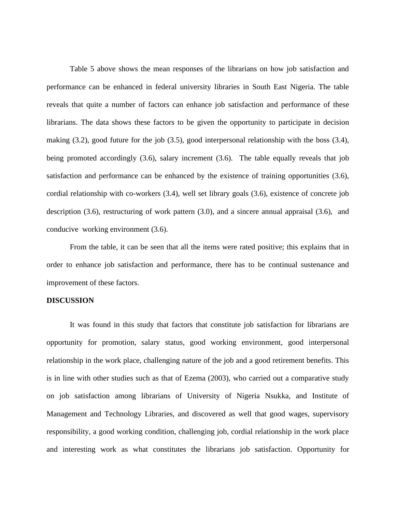Table 5 above shows the mean responses of the librarians on how job satisfaction and performance can be enhanced in federal university libraries in South East Nigeria. The table reveals that quite a number of factors can enhance job satisfaction and performance of these librarians. The data shows these factors to be given the opportunity to participate in decision making (3.2), good future for the job (3.5), good interpersonal relationship with the boss (3.4), being promoted accordingly (3.6), salary increment (3.6). The table equally reveals that job satisfaction and performance can be enhanced by the existence of training opportunities (3.6), cordial relationship with co-workers (3.4), well set library goals (3.6), existence of concrete job description (3.6), restructuring of work pattern (3.0), and a sincere annual appraisal (3.6), and conducive working environment (3.6).

From the table, it can be seen that all the items were rated positive; this explains that in order to enhance job satisfaction and performance, there has to be continual sustenance and improvement of these factors.

#### **DISCUSSION**

It was found in this study that factors that constitute job satisfaction for librarians are opportunity for promotion, salary status, good working environment, good interpersonal relationship in the work place, challenging nature of the job and a good retirement benefits. This is in line with other studies such as that of Ezema (2003), who carried out a comparative study on job satisfaction among librarians of University of Nigeria Nsukka, and Institute of Management and Technology Libraries, and discovered as well that good wages, supervisory responsibility, a good working condition, challenging job, cordial relationship in the work place and interesting work as what constitutes the librarians job satisfaction. Opportunity for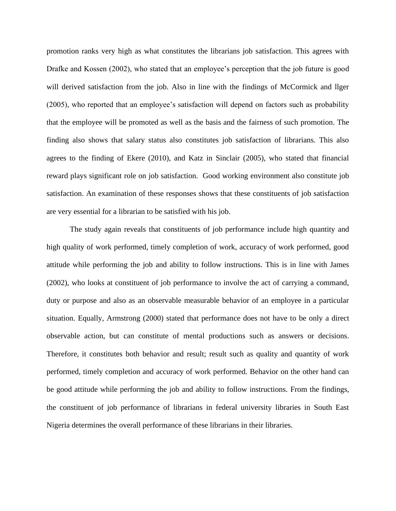promotion ranks very high as what constitutes the librarians job satisfaction. This agrees with Drafke and Kossen (2002), who stated that an employee's perception that the job future is good will derived satisfaction from the job. Also in line with the findings of McCormick and llger (2005), who reported that an employee's satisfaction will depend on factors such as probability that the employee will be promoted as well as the basis and the fairness of such promotion. The finding also shows that salary status also constitutes job satisfaction of librarians. This also agrees to the finding of Ekere (2010), and Katz in Sinclair (2005), who stated that financial reward plays significant role on job satisfaction. Good working environment also constitute job satisfaction. An examination of these responses shows that these constituents of job satisfaction are very essential for a librarian to be satisfied with his job.

The study again reveals that constituents of job performance include high quantity and high quality of work performed, timely completion of work, accuracy of work performed, good attitude while performing the job and ability to follow instructions. This is in line with James (2002), who looks at constituent of job performance to involve the act of carrying a command, duty or purpose and also as an observable measurable behavior of an employee in a particular situation. Equally, Armstrong (2000) stated that performance does not have to be only a direct observable action, but can constitute of mental productions such as answers or decisions. Therefore, it constitutes both behavior and result; result such as quality and quantity of work performed, timely completion and accuracy of work performed. Behavior on the other hand can be good attitude while performing the job and ability to follow instructions. From the findings, the constituent of job performance of librarians in federal university libraries in South East Nigeria determines the overall performance of these librarians in their libraries.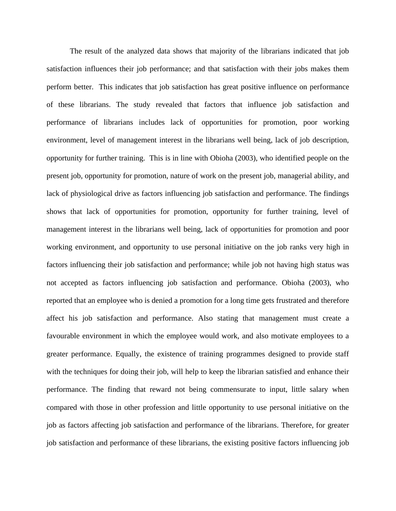The result of the analyzed data shows that majority of the librarians indicated that job satisfaction influences their job performance; and that satisfaction with their jobs makes them perform better. This indicates that job satisfaction has great positive influence on performance of these librarians. The study revealed that factors that influence job satisfaction and performance of librarians includes lack of opportunities for promotion, poor working environment, level of management interest in the librarians well being, lack of job description, opportunity for further training. This is in line with Obioha (2003), who identified people on the present job, opportunity for promotion, nature of work on the present job, managerial ability, and lack of physiological drive as factors influencing job satisfaction and performance. The findings shows that lack of opportunities for promotion, opportunity for further training, level of management interest in the librarians well being, lack of opportunities for promotion and poor working environment, and opportunity to use personal initiative on the job ranks very high in factors influencing their job satisfaction and performance; while job not having high status was not accepted as factors influencing job satisfaction and performance. Obioha (2003), who reported that an employee who is denied a promotion for a long time gets frustrated and therefore affect his job satisfaction and performance. Also stating that management must create a favourable environment in which the employee would work, and also motivate employees to a greater performance. Equally, the existence of training programmes designed to provide staff with the techniques for doing their job, will help to keep the librarian satisfied and enhance their performance. The finding that reward not being commensurate to input, little salary when compared with those in other profession and little opportunity to use personal initiative on the job as factors affecting job satisfaction and performance of the librarians. Therefore, for greater job satisfaction and performance of these librarians, the existing positive factors influencing job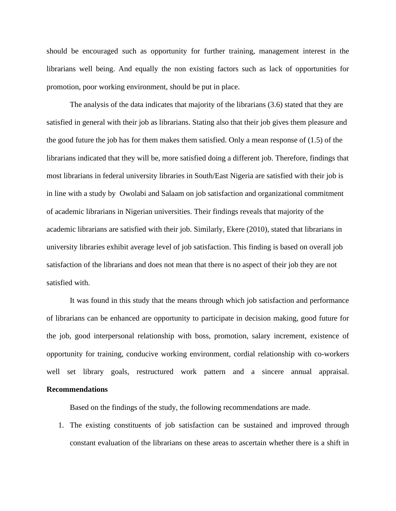should be encouraged such as opportunity for further training, management interest in the librarians well being. And equally the non existing factors such as lack of opportunities for promotion, poor working environment, should be put in place.

The analysis of the data indicates that majority of the librarians (3.6) stated that they are satisfied in general with their job as librarians. Stating also that their job gives them pleasure and the good future the job has for them makes them satisfied. Only a mean response of (1.5) of the librarians indicated that they will be, more satisfied doing a different job. Therefore, findings that most librarians in federal university libraries in South/East Nigeria are satisfied with their job is in line with a study by Owolabi and Salaam on job satisfaction and organizational commitment of academic librarians in Nigerian universities. Their findings reveals that majority of the academic librarians are satisfied with their job. Similarly, Ekere (2010), stated that librarians in university libraries exhibit average level of job satisfaction. This finding is based on overall job satisfaction of the librarians and does not mean that there is no aspect of their job they are not satisfied with.

It was found in this study that the means through which job satisfaction and performance of librarians can be enhanced are opportunity to participate in decision making, good future for the job, good interpersonal relationship with boss, promotion, salary increment, existence of opportunity for training, conducive working environment, cordial relationship with co-workers well set library goals, restructured work pattern and a sincere annual appraisal. **Recommendations** 

Based on the findings of the study, the following recommendations are made.

1. The existing constituents of job satisfaction can be sustained and improved through constant evaluation of the librarians on these areas to ascertain whether there is a shift in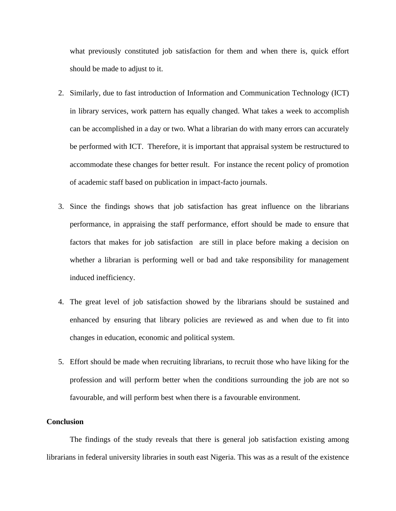what previously constituted job satisfaction for them and when there is, quick effort should be made to adjust to it.

- 2. Similarly, due to fast introduction of Information and Communication Technology (ICT) in library services, work pattern has equally changed. What takes a week to accomplish can be accomplished in a day or two. What a librarian do with many errors can accurately be performed with ICT. Therefore, it is important that appraisal system be restructured to accommodate these changes for better result. For instance the recent policy of promotion of academic staff based on publication in impact-facto journals.
- 3. Since the findings shows that job satisfaction has great influence on the librarians performance, in appraising the staff performance, effort should be made to ensure that factors that makes for job satisfaction are still in place before making a decision on whether a librarian is performing well or bad and take responsibility for management induced inefficiency.
- 4. The great level of job satisfaction showed by the librarians should be sustained and enhanced by ensuring that library policies are reviewed as and when due to fit into changes in education, economic and political system.
- 5. Effort should be made when recruiting librarians, to recruit those who have liking for the profession and will perform better when the conditions surrounding the job are not so favourable, and will perform best when there is a favourable environment.

#### **Conclusion**

The findings of the study reveals that there is general job satisfaction existing among librarians in federal university libraries in south east Nigeria. This was as a result of the existence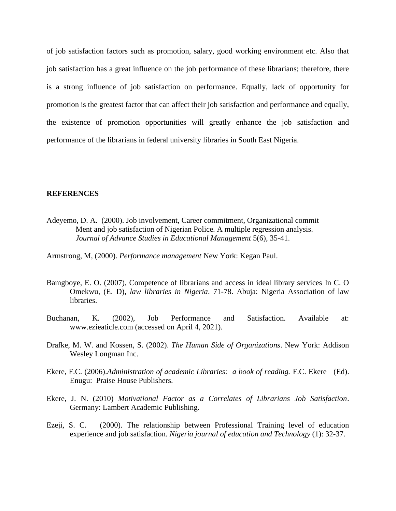of job satisfaction factors such as promotion, salary, good working environment etc. Also that job satisfaction has a great influence on the job performance of these librarians; therefore, there is a strong influence of job satisfaction on performance. Equally, lack of opportunity for promotion is the greatest factor that can affect their job satisfaction and performance and equally, the existence of promotion opportunities will greatly enhance the job satisfaction and performance of the librarians in federal university libraries in South East Nigeria.

#### **REFERENCES**

Adeyemo, D. A. (2000). Job involvement, Career commitment, Organizational commit Ment and job satisfaction of Nigerian Police. A multiple regression analysis. *Journal of Advance Studies in Educational Management* 5(6), 35-41.

Armstrong, M, (2000). *Performance management* New York: Kegan Paul.

- Bamgboye, E. O. (2007), Competence of librarians and access in ideal library services In C. O Omekwu, (E. D), *law libraries in Nigeria*. 71-78. Abuja: Nigeria Association of law libraries.
- Buchanan, K. (2002), Job Performance and Satisfaction. Available at: www.ezieaticle.com (accessed on April 4, 2021).
- Drafke, M. W. and Kossen, S. (2002). *The Human Side of Organizations*. New York: Addison Wesley Longman Inc.
- Ekere, F.C. (2006).*Administration of academic Libraries: a book of reading.* F.C. Ekere (Ed). Enugu: Praise House Publishers.
- Ekere, J. N. (2010) *Motivational Factor as a Correlates of Librarians Job Satisfaction*. Germany: Lambert Academic Publishing.
- Ezeji, S. C. (2000). The relationship between Professional Training level of education experience and job satisfaction. *Nigeria journal of education and Technology* (1): 32-37.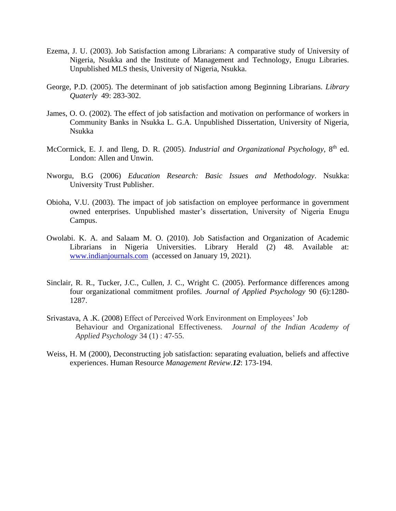- Ezema, J. U. (2003). Job Satisfaction among Librarians: A comparative study of University of Nigeria, Nsukka and the Institute of Management and Technology, Enugu Libraries. Unpublished MLS thesis, University of Nigeria, Nsukka.
- George, P.D. (2005). The determinant of job satisfaction among Beginning Librarians. *Library Quaterly* 49: 283-302.
- James, O. O. (2002). The effect of job satisfaction and motivation on performance of workers in Community Banks in Nsukka L. G.A. Unpublished Dissertation, University of Nigeria, Nsukka
- McCormick, E. J. and Ileng, D. R. (2005). *Industrial and Organizational Psychology*, 8<sup>th</sup> ed. London: Allen and Unwin.
- Nworgu, B.G (2006) *Education Research: Basic Issues and Methodology*. Nsukka: University Trust Publisher.
- Obioha, V.U. (2003). The impact of job satisfaction on employee performance in government owned enterprises. Unpublished master's dissertation, University of Nigeria Enugu Campus.
- Owolabi. K. A. and Salaam M. O. (2010). Job Satisfaction and Organization of Academic Librarians in Nigeria Universities. Library Herald (2) 48. Available at: [www.indianjournals.com](http://www.indianjournals.com/) (accessed on January 19, 2021).
- Sinclair, R. R., Tucker, J.C., Cullen, J. C., Wright C. (2005). Performance differences among four organizational commitment profiles. *Journal of Applied Psychology* 90 (6):1280- 1287.
- Srivastava, A .K. (2008) Effect of Perceived Work Environment on Employees' Job Behaviour and Organizational Effectiveness*. Journal of the Indian Academy of Applied Psychology* 34 (1) : 47-55.
- Weiss, H. M (2000), Deconstructing job satisfaction: separating evaluation, beliefs and affective experiences. Human Resource *Management Review.12*: 173-194.